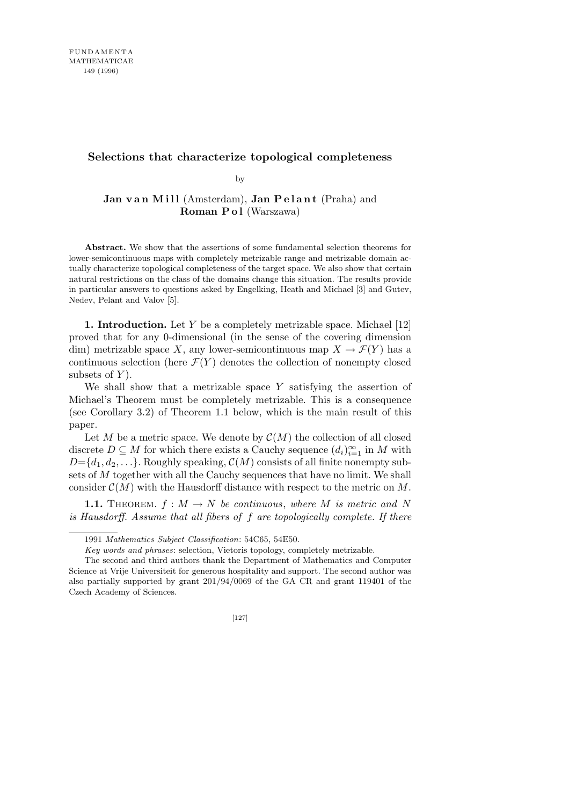## **Selections that characterize topological completeness**

by

**Jan van Mill** (Amsterdam), **Jan Pelant** (Praha) and **Roman P o l** (Warszawa)

**Abstract.** We show that the assertions of some fundamental selection theorems for lower-semicontinuous maps with completely metrizable range and metrizable domain actually characterize topological completeness of the target space. We also show that certain natural restrictions on the class of the domains change this situation. The results provide in particular answers to questions asked by Engelking, Heath and Michael [3] and Gutev, Nedev, Pelant and Valov [5].

**1. Introduction.** Let *Y* be a completely metrizable space. Michael [12] proved that for any 0-dimensional (in the sense of the covering dimension dim) metrizable space *X*, any lower-semicontinuous map  $X \to \mathcal{F}(Y)$  has a continuous selection (here  $\mathcal{F}(Y)$ ) denotes the collection of nonempty closed subsets of *Y* ).

We shall show that a metrizable space *Y* satisfying the assertion of Michael's Theorem must be completely metrizable. This is a consequence (see Corollary 3.2) of Theorem 1.1 below, which is the main result of this paper.

Let *M* be a metric space. We denote by  $\mathcal{C}(M)$  the collection of all closed discrete  $D \subseteq M$  for which there exists a Cauchy sequence  $(d_i)_{i=1}^{\infty}$  in  $M$  with  $D = \{d_1, d_2, \ldots\}$ . Roughly speaking,  $C(M)$  consists of all finite nonempty subsets of *M* together with all the Cauchy sequences that have no limit. We shall consider  $\mathcal{C}(M)$  with the Hausdorff distance with respect to the metric on M.

**1.1.** THEOREM.  $f : M \to N$  be continuous, where M is metric and N *is Hausdorff. Assume that all fibers of f are topologically complete. If there*

<sup>1991</sup> *Mathematics Subject Classification*: 54C65, 54E50.

*Key words and phrases*: selection, Vietoris topology, completely metrizable.

The second and third authors thank the Department of Mathematics and Computer Science at Vrije Universiteit for generous hospitality and support. The second author was also partially supported by grant 201/94/0069 of the GA CR and grant 119401 of the Czech Academy of Sciences.

<sup>[127]</sup>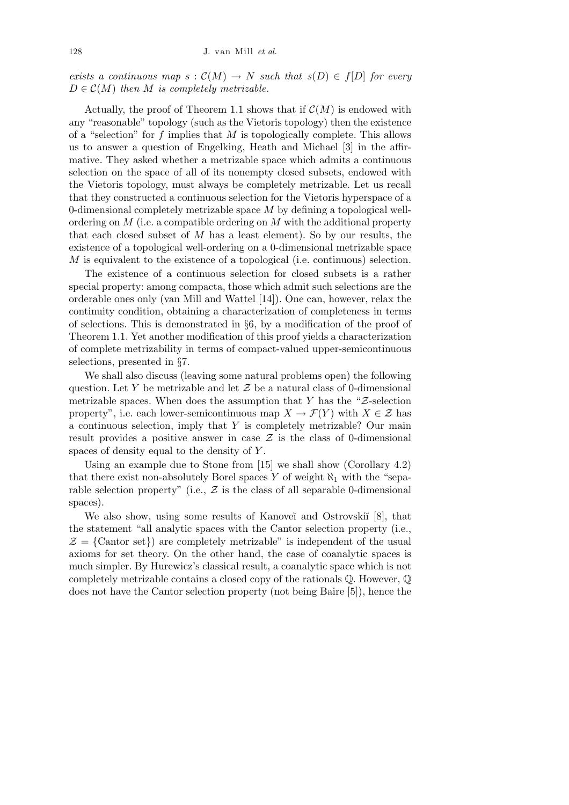*exists a continuous map*  $s : C(M) \to N$  *such that*  $s(D) \in f[D]$  *for every*  $D \in \mathcal{C}(M)$  *then M is completely metrizable.* 

Actually, the proof of Theorem 1.1 shows that if  $C(M)$  is endowed with any "reasonable" topology (such as the Vietoris topology) then the existence of a "selection" for *f* implies that *M* is topologically complete. This allows us to answer a question of Engelking, Heath and Michael [3] in the affirmative. They asked whether a metrizable space which admits a continuous selection on the space of all of its nonempty closed subsets, endowed with the Vietoris topology, must always be completely metrizable. Let us recall that they constructed a continuous selection for the Vietoris hyperspace of a 0-dimensional completely metrizable space *M* by defining a topological wellordering on *M* (i.e. a compatible ordering on *M* with the additional property that each closed subset of *M* has a least element). So by our results, the existence of a topological well-ordering on a 0-dimensional metrizable space *M* is equivalent to the existence of a topological (i.e. continuous) selection.

The existence of a continuous selection for closed subsets is a rather special property: among compacta, those which admit such selections are the orderable ones only (van Mill and Wattel [14]). One can, however, relax the continuity condition, obtaining a characterization of completeness in terms of selections. This is demonstrated in *§*6, by a modification of the proof of Theorem 1.1. Yet another modification of this proof yields a characterization of complete metrizability in terms of compact-valued upper-semicontinuous selections, presented in *§*7.

We shall also discuss (leaving some natural problems open) the following question. Let *Y* be metrizable and let *Z* be a natural class of 0-dimensional metrizable spaces. When does the assumption that *Y* has the "*Z*-selection property", i.e. each lower-semicontinuous map  $X \to \mathcal{F}(Y)$  with  $X \in \mathcal{Z}$  has a continuous selection, imply that *Y* is completely metrizable? Our main result provides a positive answer in case  $\mathcal Z$  is the class of 0-dimensional spaces of density equal to the density of *Y* .

Using an example due to Stone from [15] we shall show (Corollary 4.2) that there exist non-absolutely Borel spaces  $Y$  of weight  $\aleph_1$  with the "separable selection property" (i.e.,  $Z$  is the class of all separable 0-dimensional spaces).

We also show, using some results of Kanoveĭ and Ostrovskiĭ [8], that the statement "all analytic spaces with the Cantor selection property (i.e.,  $\mathcal{Z} = \{ \text{Cantor set} \}$  are completely metrizable" is independent of the usual axioms for set theory. On the other hand, the case of coanalytic spaces is much simpler. By Hurewicz's classical result, a coanalytic space which is not completely metrizable contains a closed copy of the rationals Q. However, Q does not have the Cantor selection property (not being Baire [5]), hence the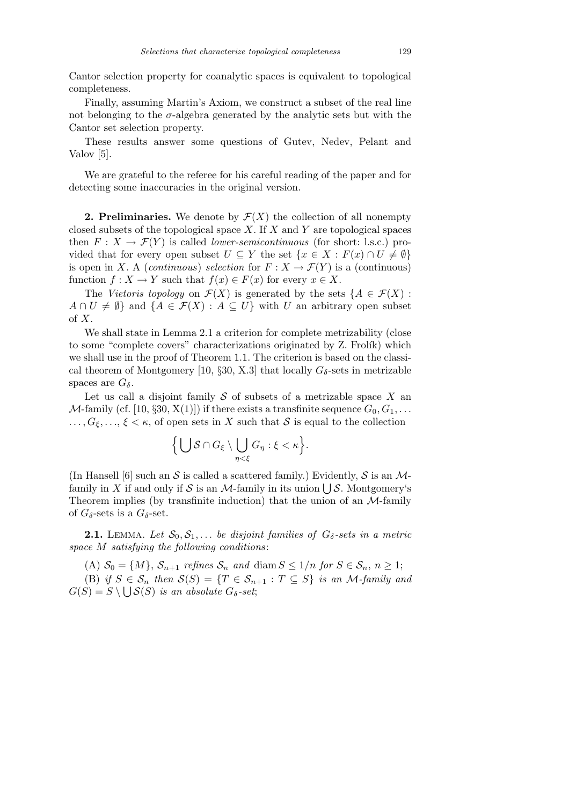Cantor selection property for coanalytic spaces is equivalent to topological completeness.

Finally, assuming Martin's Axiom, we construct a subset of the real line not belonging to the  $\sigma$ -algebra generated by the analytic sets but with the Cantor set selection property.

These results answer some questions of Gutev, Nedev, Pelant and Valov [5].

We are grateful to the referee for his careful reading of the paper and for detecting some inaccuracies in the original version.

**2. Preliminaries.** We denote by  $\mathcal{F}(X)$  the collection of all nonempty closed subsets of the topological space *X*. If *X* and *Y* are topological spaces then  $F: X \to \mathcal{F}(Y)$  is called *lower-semicontinuous* (for short: l.s.c.) provided that for every open subset  $U \subseteq Y$  the set  $\{x \in X : F(x) \cap U \neq \emptyset\}$ is open in *X*. A (*continuous*) *selection* for  $F: X \to \mathcal{F}(Y)$  is a (continuous) function  $f: X \to Y$  such that  $f(x) \in F(x)$  for every  $x \in X$ .

The *Vietoris topology* on  $\mathcal{F}(X)$  is generated by the sets  $\{A \in \mathcal{F}(X)$ :  $A \cap U \neq \emptyset$  and  $\{A \in \mathcal{F}(X) : A \subseteq U\}$  with *U* an arbitrary open subset of *X*.

We shall state in Lemma 2.1 a criterion for complete metrizability (close to some "complete covers" characterizations originated by Z. Frolík) which we shall use in the proof of Theorem 1.1. The criterion is based on the classical theorem of Montgomery [10,  $\S 30$ , X.3] that locally  $G_{\delta}$ -sets in metrizable spaces are  $G_{\delta}$ .

Let us call a disjoint family *S* of subsets of a metrizable space *X* an *M*-family (cf. [10,  $\S 30$ , X(1)]) if there exists a transfinite sequence  $G_0, G_1, \ldots$  $\ldots, G_{\xi}, \ldots, \xi < \kappa$ , of open sets in *X* such that *S* is equal to the collection

$$
\Big\{\bigcup\mathcal{S}\cap G_{\xi}\setminus\bigcup_{\eta<\xi}G_{\eta}:\xi<\kappa\Big\}.
$$

(In Hansell [6] such an  $S$  is called a scattered family.) Evidently,  $S$  is an  $M$ -(in ransen [o] such an  $S$  is called a scattered lamily.) Evidently,  $S$  is an *N*-family in *X* if and only if *S* is an *M*-family in its union  $\bigcup S$ . Montgomery's Theorem implies (by transfinite induction) that the union of an *M*-family of  $G_{\delta}$ -sets is a  $G_{\delta}$ -set.

**2.1.** LEMMA. Let  $S_0, S_1, \ldots$  be disjoint families of  $G_\delta$ -sets in a metric *space M satisfying the following conditions*:

(A)  $S_0 = \{M\}$ ,  $S_{n+1}$  *refines*  $S_n$  *and* diam  $S \leq 1/n$  *for*  $S \in S_n$ ,  $n \geq 1$ ;  $(S)$  *if*  $S \in S_n$  *then*  $S(S) = \{T \in S_{n+1} : T \subseteq S\}$  *is an M-family and*  $G(S) = S \setminus \bigcup S(S)$  *is an absolute*  $G_{\delta}$ -set;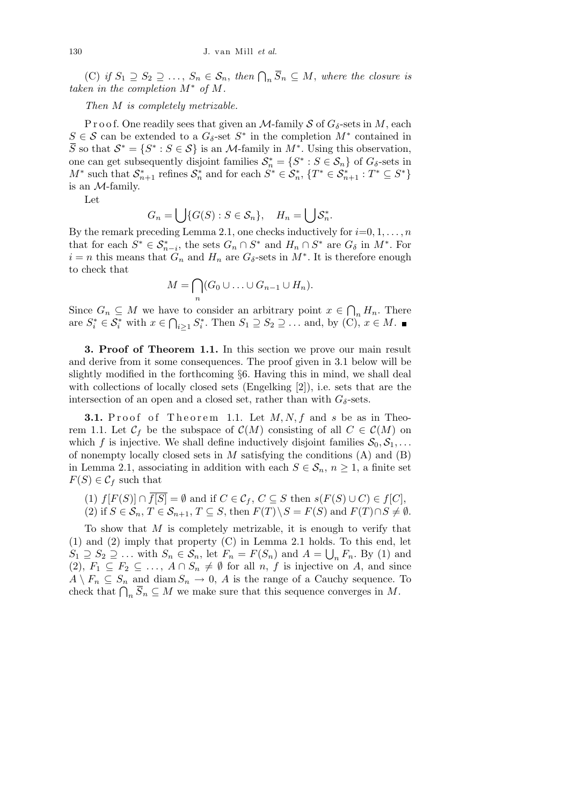(C) *if*  $S_1$  ⊇  $S_2$  ⊇  $\ldots$ ,  $S_n$  ∈  $S_n$ , then  $\bigcap_n \overline{S}_n$  ⊆  $M$ , where the closure is *taken in the completion*  $M^*$  *of*  $M$ *.* 

## *Then M is completely metrizable.*

P r o o f. One readily sees that given an *M*-family *S* of  $G_{\delta}$ -sets in *M*, each  $S \in \mathcal{S}$  can be extended to a  $G_{\delta}$ -set  $S^*$  in the completion  $M^*$  contained in  $\overline{S}$  so that  $S^* = \{S^* : S \in S\}$  is an *M*-family in  $M^*$ . Using this observation, one can get subsequently disjoint families  $S_n^* = \{S^* : S \in S_n\}$  of  $G_\delta$ -sets in  $M^*$  such that  $S_{n+1}^*$  refines  $S_n^*$  and for each  $S^* \in S_n^*$ ,  $\{T^* \in S_{n+1}^* : T^* \subseteq S^*\}$ is an *M*-family.

Let

$$
G_n = \bigcup \{ G(S) : S \in \mathcal{S}_n \}, \quad H_n = \bigcup \mathcal{S}_n^*.
$$

By the remark preceding Lemma 2.1, one checks inductively for  $i=0,1,\ldots,n$ that for each  $S^* \in \mathcal{S}_{n-i}^*$ , the sets  $G_n \cap S^*$  and  $H_n \cap S^*$  are  $G_\delta$  in  $M^*$ . For  $i = n$  this means that  $G_n$  and  $H_n$  are  $G_\delta$ -sets in  $M^*$ . It is therefore enough to check that  $\sim$ 

$$
M=\bigcap_n (G_0\cup\ldots\cup G_{n-1}\cup H_n).
$$

Since  $G_n \subseteq M$  we have to consider an arbitrary point  $x \in$  $\overline{a}$ we to consider an arbitrary point  $x \in \bigcap_n H_n$ . There are  $S_i^* \in \mathcal{S}_i^*$  with  $x \in \bigcap_{i \geq 1} S_i^*$ . Then  $S_1 \supseteq S_2 \supseteq \ldots$  and, by (C),  $x \in M$ .

**3. Proof of Theorem 1.1.** In this section we prove our main result and derive from it some consequences. The proof given in 3.1 below will be slightly modified in the forthcoming *§*6. Having this in mind, we shall deal with collections of locally closed sets (Engelking [2]), i.e. sets that are the intersection of an open and a closed set, rather than with  $G_{\delta}$ -sets.

**3.1.** Proof of Theorem 1.1. Let  $M, N, f$  and *s* be as in Theorem 1.1. Let  $\mathcal{C}_f$  be the subspace of  $\mathcal{C}(M)$  consisting of all  $C \in \mathcal{C}(M)$  on which *f* is injective. We shall define inductively disjoint families  $S_0, S_1, \ldots$ of nonempty locally closed sets in *M* satisfying the conditions (A) and (B) in Lemma 2.1, associating in addition with each  $S \in \mathcal{S}_n$ ,  $n \geq 1$ , a finite set  $F(S) \in \mathcal{C}_f$  such that

(1)  $f[F(S)] ∩ \overline{f[S]} = ∅$  and if  $C ∈ C_f, C ⊆ S$  then  $s(F(S) ∪ C) ∈ f[C]$ , (2) if  $S \in \mathcal{S}_n$ ,  $T \in \mathcal{S}_{n+1}$ ,  $T \subseteq S$ , then  $F(T) \setminus S = F(S)$  and  $F(T) \cap S \neq \emptyset$ .

To show that *M* is completely metrizable, it is enough to verify that (1) and (2) imply that property (C) in Lemma 2.1 holds. To this end, let  $S_1 \supseteq S_2 \supseteq \ldots$  with  $S_n \in S_n$ , let  $F_n = F(S_n)$  and  $A = \bigcup_n F_n$ . By (1) and (2),  $F_1 \subseteq F_2 \subseteq \ldots$ ,  $A \cap S_n \neq \emptyset$  for all *n*, *f* is injective on *A*, and since  $A \setminus F_n \subseteq S_n$  and diam  $S_n \to 0$ , *A* is the range of a Cauchy sequence. To  $A \setminus F_n \subseteq S_n$  and diam  $S_n \to 0$ , A is the range of a Cauchy sequence.<br>check that  $\bigcap_n \overline{S}_n \subseteq M$  we make sure that this sequence converges in M.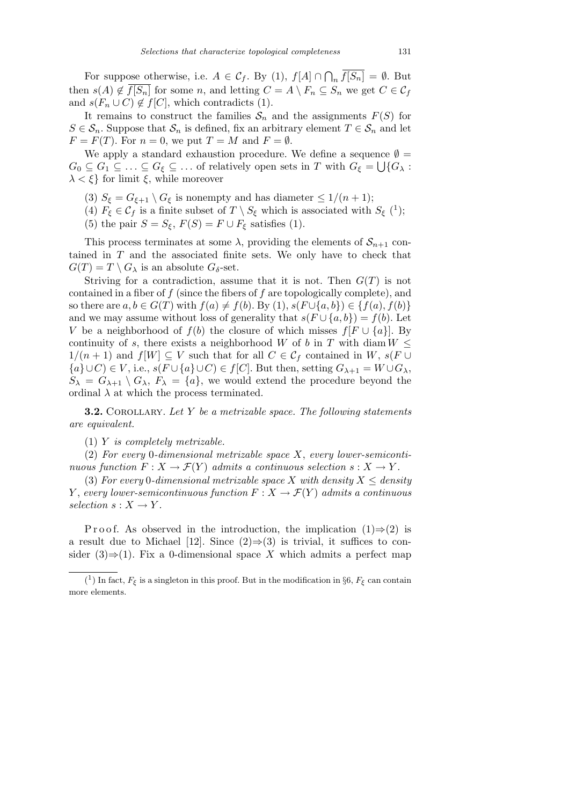For suppose otherwise, i.e.  $A \in \mathcal{C}_f$ . By (1),  $f[A] \cap$  $\overline{a}$  $f[S_n] = \emptyset$ . But then  $s(A) \notin \overline{f[S_n]}$  for some *n*, and letting  $C = A \setminus F_n \subseteq S_n$  we get  $C \in \mathcal{C}_f$ and  $s(F_n \cup C) \notin f[C]$ , which contradicts (1).

It remains to construct the families  $S_n$  and the assignments  $F(S)$  for  $S \in \mathcal{S}_n$ . Suppose that  $\mathcal{S}_n$  is defined, fix an arbitrary element  $T \in \mathcal{S}_n$  and let  $F = F(T)$ . For  $n = 0$ , we put  $T = M$  and  $F = \emptyset$ .

We apply a standard exhaustion procedure. We define a sequence  $\emptyset = \overline{\mathcal{Z}}$  $G_0 \subseteq G_1 \subseteq \ldots \subseteq G_\xi \subseteq \ldots$  of relatively open sets in *T* with  $G_\xi = \bigcup \{G_\lambda :$ *λ < ξ}* for limit *ξ*, while moreover

- (3)  $S_{\xi} = G_{\xi+1} \setminus G_{\xi}$  is nonempty and has diameter  $\leq 1/(n+1)$ ;
- (4)  $F_{\xi} \in C_f$  is a finite subset of  $T \setminus S_{\xi}$  which is associated with  $S_{\xi}$  (<sup>1</sup>);
- (5) the pair  $S = S_{\xi}$ ,  $F(S) = F \cup F_{\xi}$  satisfies (1).

This process terminates at some  $\lambda$ , providing the elements of  $S_{n+1}$  contained in *T* and the associated finite sets. We only have to check that  $G(T) = T \setminus G_\lambda$  is an absolute  $G_\delta$ -set.

Striving for a contradiction, assume that it is not. Then  $G(T)$  is not contained in a fiber of *f* (since the fibers of *f* are topologically complete), and so there are  $a, b \in G(T)$  with  $f(a) ≠ f(b)$ . By (1),  $s(F \cup \{a, b\}) ∈ \{f(a), f(b)\}$ and we may assume without loss of generality that  $s(F \cup \{a, b\}) = f(b)$ . Let *V* be a neighborhood of  $f(b)$  the closure of which misses  $f[F \cup \{a\}]$ . By continuity of *s*, there exists a neighborhood *W* of *b* in *T* with diam  $W \leq$  $1/(n+1)$  and  $f[W] \subseteq V$  such that for all  $C \in \mathcal{C}_f$  contained in  $W, s(F \cup$ *{* $a$ *}∪C*)  $∈$  *V*, i.e., *s*(*F*  $∪$  { $a$ *}* $∪$ *C*)  $∈$  *f*[*C*]. But then, setting  $G_{\lambda+1} = W ∪ G_{\lambda}$ ,  $S_{\lambda} = G_{\lambda+1} \setminus G_{\lambda}, F_{\lambda} = \{a\}$ , we would extend the procedure beyond the ordinal  $\lambda$  at which the process terminated.

**3.2.** COROLLARY. Let Y be a metrizable space. The following statements *are equivalent.*

(1) *Y is completely metrizable.*

(2) *For every* 0*-dimensional metrizable space X*, *every lower-semicontinuous function*  $F: X \to \mathcal{F}(Y)$  *admits a continuous selection*  $s: X \to Y$ .

(3) For every 0-dimensional metrizable space X with density  $X \le$  density *Y*, *every lower-semicontinuous function*  $F: X \to \mathcal{F}(Y)$  *admits a continuous*  $selection$  *s* :  $X \rightarrow Y$ .

P r o o f. As observed in the introduction, the implication  $(1) \Rightarrow (2)$  is a result due to Michael [12]. Since  $(2) \Rightarrow (3)$  is trivial, it suffices to consider  $(3) \Rightarrow (1)$ . Fix a 0-dimensional space X which admits a perfect map

<sup>&</sup>lt;sup>(1</sup>) In fact,  $F_{\xi}$  is a singleton in this proof. But in the modification in §6,  $F_{\xi}$  can contain more elements.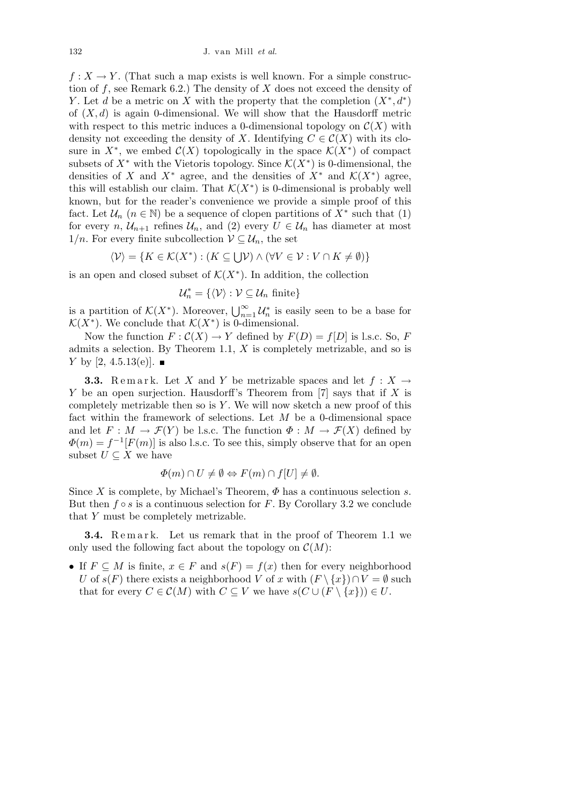$f: X \to Y$ . (That such a map exists is well known. For a simple construction of *f*, see Remark 6.2.) The density of *X* does not exceed the density of *Y*. Let *d* be a metric on *X* with the property that the completion  $(X^*, d^*)$ of  $(X, d)$  is again 0-dimensional. We will show that the Hausdorff metric with respect to this metric induces a 0-dimensional topology on  $\mathcal{C}(X)$  with density not exceeding the density of *X*. Identifying  $C \in \mathcal{C}(X)$  with its closure in  $X^*$ , we embed  $\mathcal{C}(X)$  topologically in the space  $\mathcal{K}(X^*)$  of compact subsets of  $X^*$  with the Vietoris topology. Since  $\mathcal{K}(X^*)$  is 0-dimensional, the densities of *X* and *X<sup>\*</sup>* agree, and the densities of  $X^*$  and  $\mathcal{K}(X^*)$  agree, this will establish our claim. That  $\mathcal{K}(X^*)$  is 0-dimensional is probably well known, but for the reader's convenience we provide a simple proof of this fact. Let  $\mathcal{U}_n$  ( $n \in \mathbb{N}$ ) be a sequence of clopen partitions of  $X^*$  such that (1) for every *n*,  $\mathcal{U}_{n+1}$  refines  $\mathcal{U}_n$ , and (2) every  $U \in \mathcal{U}_n$  has diameter at most 1/*n*. For every finite subcollection  $V \subseteq \mathcal{U}_n$ , the set

$$
\langle \mathcal{V} \rangle = \{ K \in \mathcal{K}(X^*) : (K \subseteq \bigcup \mathcal{V}) \land (\forall V \in \mathcal{V} : V \cap K \neq \emptyset) \}
$$

is an open and closed subset of  $\mathcal{K}(X^*)$ . In addition, the collection

$$
\mathcal{U}_n^* = \{ \langle \mathcal{V} \rangle : \mathcal{V} \subseteq \mathcal{U}_n \text{ finite} \}
$$

is a partition of  $\mathcal{K}(X^*)$ . Moreover,  $\bigcup_{n=1}^{\infty} \mathcal{U}_n^*$  is easily seen to be a base for  $\mathcal{K}(X^*)$ . We conclude that  $\mathcal{K}(X^*)$  is 0-dimensional.

Now the function  $F : C(X) \to Y$  defined by  $F(D) = f[D]$  is l.s.c. So, *F* admits a selection. By Theorem 1.1, *X* is completely metrizable, and so is *Y* by [2, 4.5.13(e)]. ■

**3.3.** Remark. Let *X* and *Y* be metrizable spaces and let  $f: X \rightarrow$ *Y* be an open surjection. Hausdorff's Theorem from [7] says that if *X* is completely metrizable then so is *Y* . We will now sketch a new proof of this fact within the framework of selections. Let *M* be a 0-dimensional space and let  $F: M \to \mathcal{F}(Y)$  be l.s.c. The function  $\Phi: M \to \mathcal{F}(X)$  defined by  $\Phi(m) = f^{-1}[F(m)]$  is also l.s.c. To see this, simply observe that for an open subset  $U \subseteq X$  we have

$$
\Phi(m) \cap U \neq \emptyset \Leftrightarrow F(m) \cap f[U] \neq \emptyset.
$$

Since *X* is complete, by Michael's Theorem,  $\Phi$  has a continuous selection *s*. But then  $f \circ s$  is a continuous selection for  $F$ . By Corollary 3.2 we conclude that *Y* must be completely metrizable.

**3.4.** Remark. Let us remark that in the proof of Theorem 1.1 we only used the following fact about the topology on  $\mathcal{C}(M)$ :

• If  $F \subseteq M$  is finite,  $x \in F$  and  $s(F) = f(x)$  then for every neighborhood *U* of  $s(F)$  there exists a neighborhood *V* of *x* with  $(F \setminus \{x\}) \cap V = \emptyset$  such that for every  $C \in \mathcal{C}(M)$  with  $C \subseteq V$  we have  $s(C \cup (F \setminus \{x\})) \in U$ .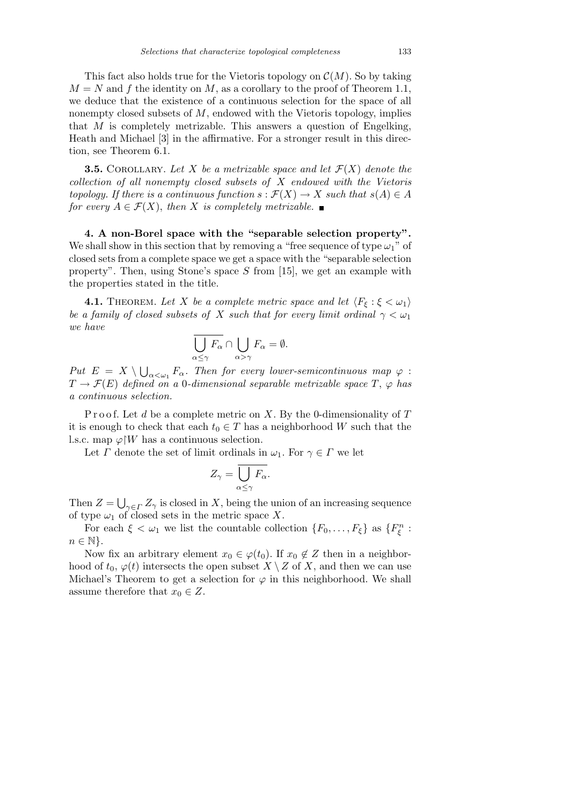This fact also holds true for the Vietoris topology on  $\mathcal{C}(M)$ . So by taking  $M = N$  and  $f$  the identity on  $M$ , as a corollary to the proof of Theorem 1.1, we deduce that the existence of a continuous selection for the space of all nonempty closed subsets of *M*, endowed with the Vietoris topology, implies that *M* is completely metrizable. This answers a question of Engelking, Heath and Michael [3] in the affirmative. For a stronger result in this direction, see Theorem 6.1.

**3.5.** COROLLARY. Let *X* be a metrizable space and let  $\mathcal{F}(X)$  denote the *collection of all nonempty closed subsets of X endowed with the Vietoris topology.* If there is a continuous function  $s : \mathcal{F}(X) \to X$  such that  $s(A) \in A$ *for every*  $A \in \mathcal{F}(X)$ , *then X is completely metrizable.* 

**4. A non-Borel space with the "separable selection property".** We shall show in this section that by removing a "free sequence of type  $\omega_1$ " of closed sets from a complete space we get a space with the "separable selection property". Then, using Stone's space *S* from [15], we get an example with the properties stated in the title.

**4.1.** THEOREM. Let *X* be a complete metric space and let  $\langle F_{\xi} : \xi < \omega_1 \rangle$ *be a family of closed subsets of X such that for every limit ordinal*  $\gamma < \omega_1$ *we have*

$$
\overline{\bigcup_{\alpha\leq\gamma}F_{\alpha}}\cap\bigcup_{\alpha>\gamma}F_{\alpha}=\emptyset.
$$

*Put*  $E = X \setminus$ S  $a<sub>\alpha</sub>$  *F*<sup> $\alpha$ </sup>. Then for every lower-semicontinuous map  $\varphi$  :  $T \rightarrow \mathcal{F}(E)$  *defined on a* 0*-dimensional separable metrizable space*  $T$ ,  $\varphi$  *has a continuous selection.*

Proof. Let *d* be a complete metric on *X*. By the 0-dimensionality of *T* it is enough to check that each  $t_0 \in T$  has a neighborhood *W* such that the l.s.c. map  $\varphi$ <sup>*W*</sup> has a continuous selection.

Let *Γ* denote the set of limit ordinals in  $\omega_1$ . For  $\gamma \in \Gamma$  we let

$$
Z_{\gamma} = \overline{\bigcup_{\alpha \le \gamma} F_{\alpha}}.
$$

Then  $Z =$ S  $\gamma \in \Gamma$  *Z*<sub> $\gamma$ </sub> is closed in *X*, being the union of an increasing sequence of type  $\omega_1$  of closed sets in the metric space X.

For each  $\xi < \omega_1$  we list the countable collection  $\{F_0, \ldots, F_{\xi}\}\$ as  $\{F_{\xi}^n$ : *n* ∈ N<sup>}</sup>.

Now fix an arbitrary element  $x_0 \in \varphi(t_0)$ . If  $x_0 \notin Z$  then in a neighborhood of  $t_0$ ,  $\varphi(t)$  intersects the open subset  $X \setminus Z$  of  $X$ , and then we can use Michael's Theorem to get a selection for  $\varphi$  in this neighborhood. We shall assume therefore that  $x_0 \in Z$ .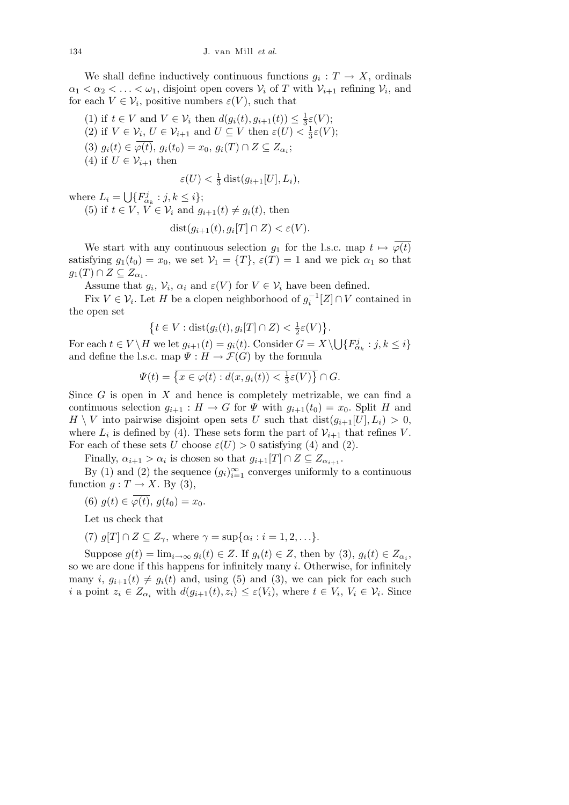We shall define inductively continuous functions  $g_i: T \to X$ , ordinals  $\alpha_1 < \alpha_2 < \ldots < \omega_1$ , disjoint open covers  $V_i$  of *T* with  $V_{i+1}$  refining  $V_i$ , and for each  $V \in \mathcal{V}_i$ , positive numbers  $\varepsilon(V)$ , such that

- (1) if  $t \in V$  and  $V \in V_i$  then  $d(g_i(t), g_{i+1}(t)) \leq \frac{1}{3}$  $\frac{1}{3}\varepsilon(V);$
- (2) if  $V \in \mathcal{V}_i$ ,  $U \in \mathcal{V}_{i+1}$  and  $U \subseteq V$  then  $\varepsilon(U) < \frac{1}{3}$  $\frac{1}{3}\varepsilon(V);$
- $(3)$   $g_i(t) \in \varphi(t), g_i(t_0) = x_0, g_i(T) \cap Z \subseteq Z_{\alpha_i};$
- (4) if  $U \in \mathcal{V}_{i+1}$  then

$$
\varepsilon(U) < \frac{1}{3} \operatorname{dist}(g_{i+1}[U], L_i),
$$

where  $L_i =$ S  ${F}^j_{\alpha_k} : j, k \leq i$ <sup>}</sup>; (5) if  $t \in V$ ,  $V \in V_i$  and  $g_{i+1}(t) \neq g_i(t)$ , then

$$
dist(g_{i+1}(t), g_i[T] \cap Z) < \varepsilon(V).
$$

We start with any continuous selection  $g_1$  for the l.s.c. map  $t \mapsto \overline{\varphi(t)}$ satisfying  $g_1(t_0) = x_0$ , we set  $V_1 = \{T\}$ ,  $\varepsilon(T) = 1$  and we pick  $\alpha_1$  so that  $g_1(T) \cap Z \subseteq Z_{\alpha_1}.$ 

Assume that  $g_i$ ,  $\mathcal{V}_i$ ,  $\alpha_i$  and  $\varepsilon(V)$  for  $V \in \mathcal{V}_i$  have been defined.

Fix  $V \in \mathcal{V}_i$ . Let *H* be a clopen neighborhood of  $g_i^{-1}[Z] \cap V$  contained in the open set  $\overline{a}$  $\mathbf{r}$ 

$$
\left\{t \in V : \text{dist}(g_i(t), g_i[T] \cap Z) < \frac{1}{2}\varepsilon(V)\right\}
$$

*.*

For each  $t \in V \backslash H$  we let  $g_{i+1}(t) = g_i(t)$ . Consider  $G = X \backslash H$ S  ${F}^j_{\alpha_k} : j, k \leq i$ and define the l.s.c. map  $\Psi : H \to \mathcal{F}(G)$  by the formula

$$
\Psi(t) = \overline{\left\{x \in \varphi(t) : d(x, g_i(t)) < \frac{1}{3}\varepsilon(V)\right\}} \cap G.
$$

Since *G* is open in *X* and hence is completely metrizable, we can find a continuous selection  $g_{i+1}: H \to G$  for  $\Psi$  with  $g_{i+1}(t_0) = x_0$ . Split *H* and  $H \setminus V$  into pairwise disjoint open sets *U* such that  $dist(g_{i+1}[U], L_i) > 0$ , where  $L_i$  is defined by (4). These sets form the part of  $\mathcal{V}_{i+1}$  that refines *V*. For each of these sets *U* choose  $\varepsilon$ (*U*)  $> 0$  satisfying (4) and (2).

Finally,  $\alpha_{i+1} > \alpha_i$  is chosen so that  $g_{i+1}[T] \cap Z \subseteq Z_{\alpha_{i+1}}$ .

By (1) and (2) the sequence  $(g_i)_{i=1}^{\infty}$  converges uniformly to a continuous function  $g: T \to X$ . By (3),

(6) 
$$
g(t) \in \varphi(t), g(t_0) = x_0.
$$

Let us check that

(7) 
$$
g[T] \cap Z \subseteq Z_{\gamma}
$$
, where  $\gamma = \sup{\{\alpha_i : i = 1, 2, ...\}}$ .

Suppose  $g(t) = \lim_{i \to \infty} g_i(t) \in Z$ . If  $g_i(t) \in Z$ , then by (3),  $g_i(t) \in Z_{\alpha_i}$ , so we are done if this happens for infinitely many *i*. Otherwise, for infinitely many *i*,  $g_{i+1}(t) \neq g_i(t)$  and, using (5) and (3), we can pick for each such *i* a point  $z_i \in Z_{\alpha_i}$  with  $d(g_{i+1}(t), z_i) \leq \varepsilon(V_i)$ , where  $t \in V_i$ ,  $V_i \in \mathcal{V}_i$ . Since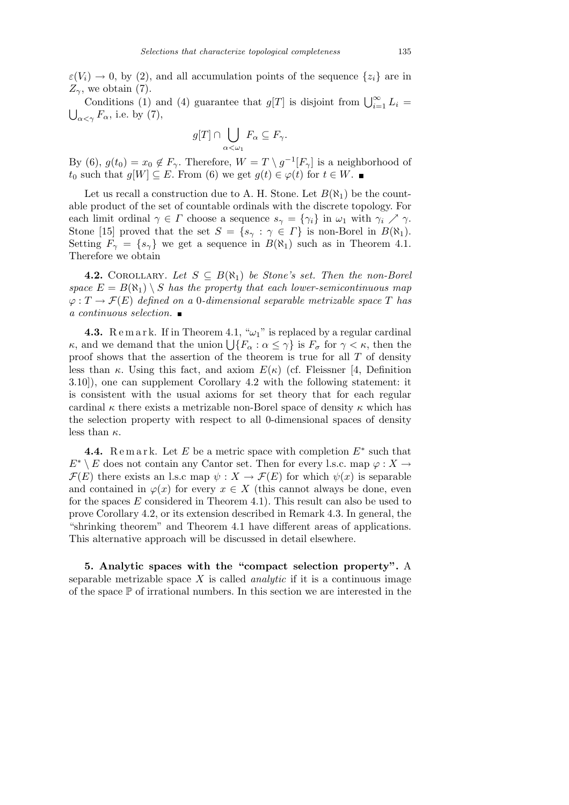$\varepsilon(V_i) \to 0$ , by (2), and all accumulation points of the sequence  $\{z_i\}$  are in  $Z_{\gamma}$ , we obtain (7).

Conditions (1) and (4) guarantee that  $g[T]$  is disjoint from  $\bigcup_{i=1}^{\infty} L_i =$  $\bigcup_{\alpha < \gamma} F_{\alpha}$ , i.e. by (7),

$$
g[T] \cap \bigcup_{\alpha < \omega_1} F_{\alpha} \subseteq F_{\gamma}.
$$

By (6),  $g(t_0) = x_0 \notin F_\gamma$ . Therefore,  $W = T \setminus g^{-1}[F_\gamma]$  is a neighborhood of *t*<sub>0</sub> such that  $g[W] \subseteq E$ . From (6) we get  $g(t) \in \varphi(t)$  for  $t \in W$ . ■

Let us recall a construction due to A. H. Stone. Let  $B(\aleph_1)$  be the countable product of the set of countable ordinals with the discrete topology. For each limit ordinal  $\gamma \in \Gamma$  choose a sequence  $s_{\gamma} = {\gamma_i}$  in  $\omega_1$  with  $\gamma_i \nearrow \gamma$ . Stone [15] proved that the set  $S = \{s_\gamma : \gamma \in \Gamma\}$  is non-Borel in  $B(\aleph_1)$ . Setting  $F_\gamma = \{s_\gamma\}$  we get a sequence in  $B(\aleph_1)$  such as in Theorem 4.1. Therefore we obtain

**4.2.** COROLLARY. Let  $S \subseteq B(\aleph_1)$  be Stone's set. Then the non-Borel *space*  $E = B(\aleph_1) \setminus S$  *has the property that each lower-semicontinuous map*  $\varphi: T \to \mathcal{F}(E)$  *defined on a* 0*-dimensional separable metrizable space T has a continuous selection.*

**4.3.** Remark. If in Theorem 4.1, " $\omega_1$ " is replaced by a regular cardinal **4.3.** *κ* and we demand that the union  $\bigcup \{F_\alpha : \alpha \leq \gamma\}$  is  $F_\sigma$  for  $\gamma < \kappa$ , then the proof shows that the assertion of the theorem is true for all *T* of density less than  $\kappa$ . Using this fact, and axiom  $E(\kappa)$  (cf. Fleissner [4, Definition 3.10]), one can supplement Corollary 4.2 with the following statement: it is consistent with the usual axioms for set theory that for each regular cardinal  $\kappa$  there exists a metrizable non-Borel space of density  $\kappa$  which has the selection property with respect to all 0-dimensional spaces of density less than *κ*.

**4.4.** Remark. Let  $E$  be a metric space with completion  $E^*$  such that  $E^* \setminus E$  does not contain any Cantor set. Then for every l.s.c. map  $\varphi : X \to Y$ *F*(*E*) there exists an l.s.c map  $\psi : X \to \mathcal{F}(E)$  for which  $\psi(x)$  is separable and contained in  $\varphi(x)$  for every  $x \in X$  (this cannot always be done, even for the spaces *E* considered in Theorem 4.1). This result can also be used to prove Corollary 4.2, or its extension described in Remark 4.3. In general, the "shrinking theorem" and Theorem 4.1 have different areas of applications. This alternative approach will be discussed in detail elsewhere.

**5. Analytic spaces with the "compact selection property".** A separable metrizable space  $X$  is called *analytic* if it is a continuous image of the space  $\mathbb P$  of irrational numbers. In this section we are interested in the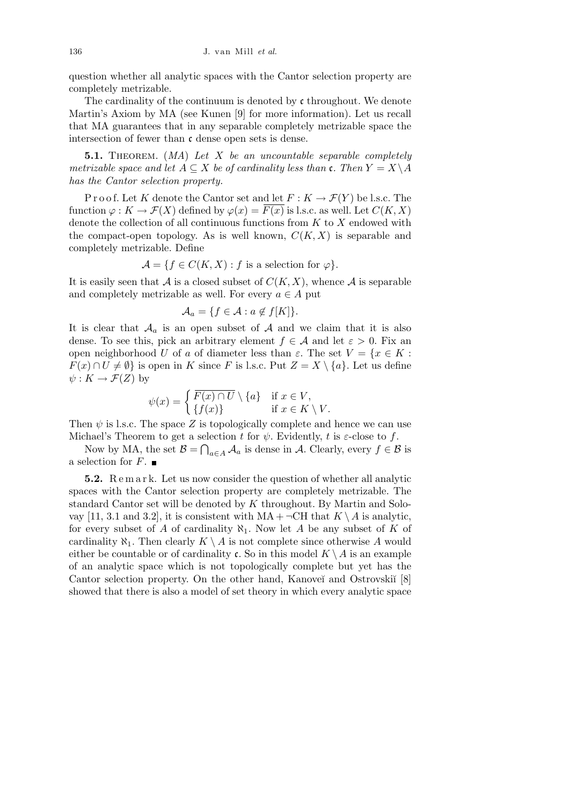question whether all analytic spaces with the Cantor selection property are completely metrizable.

The cardinality of the continuum is denoted by  $\mathfrak c$  throughout. We denote Martin's Axiom by MA (see Kunen [9] for more information). Let us recall that MA guarantees that in any separable completely metrizable space the intersection of fewer than  $\mathfrak c$  dense open sets is dense.

**5.1.** Theorem. (*MA*) *Let X be an uncountable separable completely metrizable space and let*  $A \subseteq X$  *be of cardinality less than* c. Then  $Y = X \setminus A$ *has the Cantor selection property.*

P r o o f. Let *K* denote the Cantor set and let  $F: K \to \mathcal{F}(Y)$  be l.s.c. The function  $\varphi: K \to \mathcal{F}(X)$  defined by  $\varphi(x) = F(x)$  is l.s.c. as well. Let  $C(K, X)$ denote the collection of all continuous functions from *K* to *X* endowed with the compact-open topology. As is well known,  $C(K, X)$  is separable and completely metrizable. Define

$$
\mathcal{A} = \{ f \in C(K, X) : f \text{ is a selection for } \varphi \}.
$$

It is easily seen that  $A$  is a closed subset of  $C(K, X)$ , whence  $A$  is separable and completely metrizable as well. For every  $a \in A$  put

$$
\mathcal{A}_a = \{ f \in \mathcal{A} : a \notin f[K] \}.
$$

It is clear that  $A_a$  is an open subset of  $A$  and we claim that it is also dense. To see this, pick an arbitrary element  $f \in \mathcal{A}$  and let  $\varepsilon > 0$ . Fix an open neighborhood *U* of *a* of diameter less than  $\varepsilon$ . The set  $V = \{x \in K :$ *F*(*x*) ∩ *U*  $\neq$  *Ø*} is open in *K* since *F* is l.s.c. Put *Z* = *X \*{*a*}. Let us define  $\psi: K \to \mathcal{F}(Z)$  by

$$
\psi(x) = \begin{cases} \overline{F(x) \cap U} \setminus \{a\} & \text{if } x \in V, \\ \{f(x)\} & \text{if } x \in K \setminus V. \end{cases}
$$

Then  $\psi$  is l.s.c. The space Z is topologically complete and hence we can use Michael's Theorem to get a selection *t* for  $\psi$ . Evidently, *t* is *ε*-close to *f*.

Now by MA, the set  $\mathcal{B} = \bigcap_{a \in A} A_a$  is dense in *A*. Clearly, every  $f \in \mathcal{B}$  is a selection for  $F$ .

**5.2.** R e m a r k. Let us now consider the question of whether all analytic spaces with the Cantor selection property are completely metrizable. The standard Cantor set will be denoted by *K* throughout. By Martin and Solovay [11, 3.1 and 3.2], it is consistent with  $MA + \neg CH$  that  $K \setminus A$  is analytic, for every subset of *A* of cardinality  $\aleph_1$ . Now let *A* be any subset of *K* of cardinality  $\aleph_1$ . Then clearly  $K \setminus A$  is not complete since otherwise A would either be countable or of cardinality c. So in this model  $K \setminus A$  is an example of an analytic space which is not topologically complete but yet has the Cantor selection property. On the other hand, Kanoveĭ and Ostrovskiĭ [8] showed that there is also a model of set theory in which every analytic space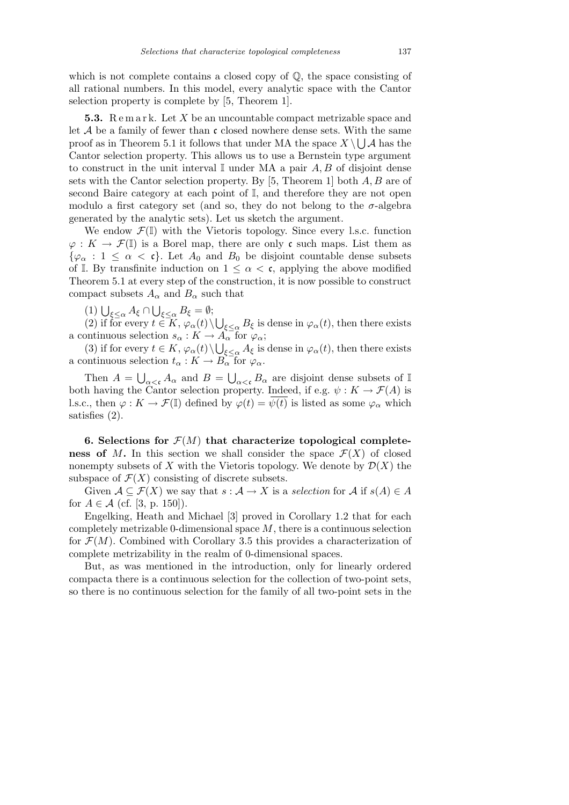which is not complete contains a closed copy of  $\mathbb{Q}$ , the space consisting of all rational numbers. In this model, every analytic space with the Cantor selection property is complete by [5, Theorem 1].

**5.3.** Remark. Let X be an uncountable compact metrizable space and let  $A$  be a family of fewer than  $\mathfrak c$  closed nowhere dense sets. With the same proof as in Theorem 5.1 it follows that under MA the space  $X \setminus \bigcup \mathcal{A}$  has the Cantor selection property. This allows us to use a Bernstein type argument to construct in the unit interval  $\mathbb{I}$  under MA a pair  $A, B$  of disjoint dense sets with the Cantor selection property. By [5, Theorem 1] both *A, B* are of second Baire category at each point of I, and therefore they are not open modulo a first category set (and so, they do not belong to the  $\sigma$ -algebra generated by the analytic sets). Let us sketch the argument.

We endow  $\mathcal{F}(\mathbb{I})$  with the Vietoris topology. Since every l.s.c. function  $\varphi: K \to \mathcal{F}(\mathbb{I})$  is a Borel map, there are only c such maps. List them as  $\{\varphi_{\alpha} : 1 \leq \alpha < \mathfrak{c}\}\$ . Let  $A_0$  and  $B_0$  be disjoint countable dense subsets of I. By transfinite induction on  $1 \leq \alpha < \mathfrak{c}$ , applying the above modified Theorem 5.1 at every step of the construction, it is now possible to construct compact subsets  $A_{\alpha}$  and  $B_{\alpha}$  such that

 $(1)$   $\bigcup_{\xi \leq \alpha} A_{\xi} \cap$  $\tilde{\ }$ *<sup>ξ</sup>≤<sup>α</sup> B<sup>ξ</sup>* = *∅*;

 $(2)$  if for every  $t \in K$ ,  $\varphi_{\alpha}(t)$ S  $\epsilon \leq \alpha$  *B* $\epsilon$  is dense in  $\varphi_{\alpha}(t)$ , then there exists a continuous selection  $s_{\alpha}: K \to \widetilde{A_{\alpha}}$  for  $\varphi_{\alpha};$ 

(3) if for every  $t \in K$ ,  $\varphi_{\alpha}(t) \setminus \bigcup_{\xi \leq \alpha} A_{\xi}$  is dense in  $\varphi_{\alpha}(t)$ , then there exists a continuous selection  $t_{\alpha}: K \to B_{\alpha}^{\text{--}}$  for  $\varphi_{\alpha}$ .

Then  $A =$ S  $\alpha <$ **c**  $A_{\alpha}$  and  $B =$ s<br>Da  $a \lt c$ ,  $B_\alpha$  are disjoint dense subsets of I both having the Cantor selection property. Indeed, if e.g.  $\psi: K \to \mathcal{F}(A)$  is l.s.c., then  $\varphi: K \to \mathcal{F}(\mathbb{I})$  defined by  $\varphi(t) = \overline{\psi(t)}$  is listed as some  $\varphi_{\alpha}$  which satisfies (2).

**6. Selections for**  $\mathcal{F}(M)$  that characterize topological complete**ness of** *M***.** In this section we shall consider the space  $\mathcal{F}(X)$  of closed nonempty subsets of X with the Vietoris topology. We denote by  $\mathcal{D}(X)$  the subspace of  $\mathcal{F}(X)$  consisting of discrete subsets.

Given  $A \subseteq \mathcal{F}(X)$  we say that  $s : A \to X$  is a *selection* for  $A$  if  $s(A) \in A$ for  $A \in \mathcal{A}$  (cf. [3, p. 150]).

Engelking, Heath and Michael [3] proved in Corollary 1.2 that for each completely metrizable 0-dimensional space *M*, there is a continuous selection for  $\mathcal{F}(M)$ . Combined with Corollary 3.5 this provides a characterization of complete metrizability in the realm of 0-dimensional spaces.

But, as was mentioned in the introduction, only for linearly ordered compacta there is a continuous selection for the collection of two-point sets, so there is no continuous selection for the family of all two-point sets in the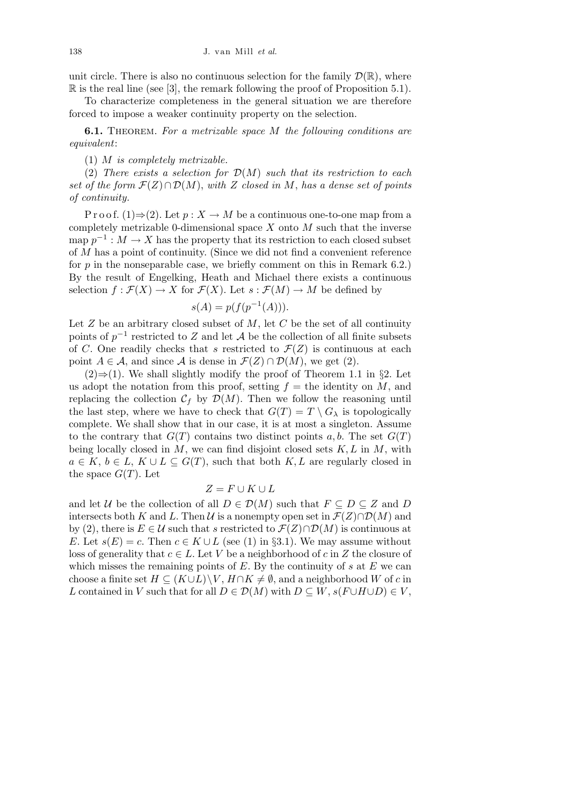unit circle. There is also no continuous selection for the family  $\mathcal{D}(\mathbb{R})$ , where R is the real line (see [3], the remark following the proof of Proposition 5.1).

To characterize completeness in the general situation we are therefore forced to impose a weaker continuity property on the selection.

**6.1.** Theorem. *For a metrizable space M the following conditions are equivalent*:

(1) *M is completely metrizable.*

(2) *There exists a selection for D*(*M*) *such that its restriction to each set of the form F*(*Z*)*∩ D*(*M*), *with Z closed in M*, *has a dense set of points of continuity.*

P r o o f. (1) $\Rightarrow$  (2). Let  $p: X \to M$  be a continuous one-to-one map from a completely metrizable 0-dimensional space *X* onto *M* such that the inverse  $\text{map } p^{-1}: M \to X$  has the property that its restriction to each closed subset of *M* has a point of continuity. (Since we did not find a convenient reference for *p* in the nonseparable case, we briefly comment on this in Remark 6.2.) By the result of Engelking, Heath and Michael there exists a continuous selection  $f : \mathcal{F}(X) \to X$  for  $\mathcal{F}(X)$ . Let  $s : \mathcal{F}(M) \to M$  be defined by

$$
s(A) = p(f(p^{-1}(A))).
$$

Let *Z* be an arbitrary closed subset of *M*, let *C* be the set of all continuity points of *p −*1 restricted to *Z* and let *A* be the collection of all finite subsets of *C*. One readily checks that *s* restricted to  $\mathcal{F}(Z)$  is continuous at each point  $A \in \mathcal{A}$ , and since  $\mathcal{A}$  is dense in  $\mathcal{F}(Z) \cap \mathcal{D}(M)$ , we get (2).

(2)*⇒*(1). We shall slightly modify the proof of Theorem 1.1 in *§*2. Let us adopt the notation from this proof, setting  $f =$  the identity on  $M$ , and replacing the collection  $C_f$  by  $\mathcal{D}(M)$ . Then we follow the reasoning until the last step, where we have to check that  $G(T) = T \setminus G_\lambda$  is topologically complete. We shall show that in our case, it is at most a singleton. Assume to the contrary that  $G(T)$  contains two distinct points *a, b.* The set  $G(T)$ being locally closed in *M*, we can find disjoint closed sets *K, L* in *M*, with  $a \in K$ ,  $b \in L$ ,  $K \cup L \subseteq G(T)$ , such that both  $K, L$  are regularly closed in the space  $G(T)$ . Let

## $Z = F \cup K \cup L$

and let *U* be the collection of all  $D \in \mathcal{D}(M)$  such that  $F \subseteq D \subseteq Z$  and *D* intersects both *K* and *L*. Then *U* is a nonempty open set in  $\mathcal{F}(Z) \cap \mathcal{D}(M)$  and by (2), there is  $E \in \mathcal{U}$  such that *s* restricted to  $\mathcal{F}(Z) \cap \mathcal{D}(M)$  is continuous at *E*. Let  $s(E) = c$ . Then  $c \in K \cup L$  (see (1) in *§*3.1). We may assume without loss of generality that  $c \in L$ . Let *V* be a neighborhood of  $c$  in  $Z$  the closure of which misses the remaining points of *E*. By the continuity of *s* at *E* we can choose a finite set  $H \subseteq (K \cup L) \setminus V$ ,  $H \cap K \neq \emptyset$ , and a neighborhood *W* of *c* in *L* contained in *V* such that for all  $D \in \mathcal{D}(M)$  with  $D \subseteq W$ ,  $s(F \cup H \cup D) \in V$ ,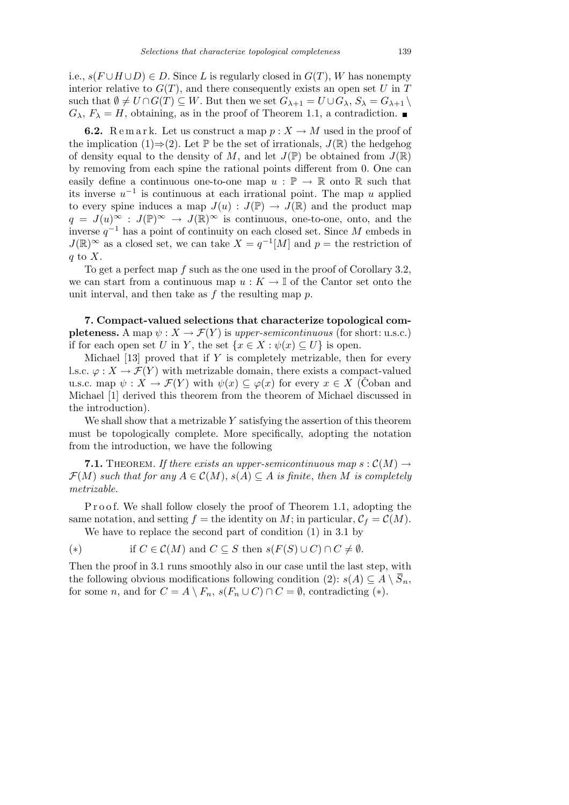i.e.,  $s(F \cup H \cup D)$  ∈ *D*. Since *L* is regularly closed in  $G(T)$ , *W* has nonempty interior relative to  $G(T)$ , and there consequently exists an open set  $U$  in  $T$ such that  $\emptyset \neq U \cap G(T) \subseteq W$ . But then we set  $G_{\lambda+1} = U \cup G_{\lambda}$ ,  $S_{\lambda} = G_{\lambda+1} \setminus$  $G_{\lambda}$ ,  $F_{\lambda} = H$ , obtaining, as in the proof of Theorem 1.1, a contradiction.

**6.2.** Remark. Let us construct a map  $p: X \to M$  used in the proof of the implication (1) $\Rightarrow$ (2). Let P be the set of irrationals,  $J(\mathbb{R})$  the hedgehog of density equal to the density of M, and let  $J(\mathbb{P})$  be obtained from  $J(\mathbb{R})$ by removing from each spine the rational points different from 0. One can easily define a continuous one-to-one map  $u : \mathbb{P} \to \mathbb{R}$  onto  $\mathbb{R}$  such that its inverse *u −*1 is continuous at each irrational point. The map *u* applied to every spine induces a map  $J(u) : J(\mathbb{P}) \to J(\mathbb{R})$  and the product map  $q = J(u)^\infty : J(\mathbb{P})^\infty \to J(\mathbb{R})^\infty$  is continuous, one-to-one, onto, and the inverse *q <sup>−</sup>*<sup>1</sup> has a point of continuity on each closed set. Since *M* embeds in  $J(\mathbb{R})^{\infty}$  as a closed set, we can take  $X = q^{-1}[M]$  and  $p =$  the restriction of *q* to *X*.

To get a perfect map *f* such as the one used in the proof of Corollary 3.2, we can start from a continuous map  $u: K \to \mathbb{I}$  of the Cantor set onto the unit interval, and then take as *f* the resulting map *p*.

**7. Compact-valued selections that characterize topological completeness.** A map  $\psi: X \to \mathcal{F}(Y)$  is *upper-semicontinuous* (for short: u.s.c.) if for each open set *U* in *Y*, the set  $\{x \in X : \psi(x) \subseteq U\}$  is open.

Michael [13] proved that if *Y* is completely metrizable, then for every l.s.c.  $\varphi: X \to \mathcal{F}(Y)$  with metrizable domain, there exists a compact-valued u.s.c. map  $\psi: X \to \mathcal{F}(Y)$  with  $\psi(x) \subset \varphi(x)$  for every  $x \in X$  (Coban and Michael [1] derived this theorem from the theorem of Michael discussed in the introduction).

We shall show that a metrizable *Y* satisfying the assertion of this theorem must be topologically complete. More specifically, adopting the notation from the introduction, we have the following

**7.1.** THEOREM. If there exists an upper-semicontinuous map  $s : \mathcal{C}(M) \rightarrow$  $\mathcal{F}(M)$  *such that for any*  $A \in \mathcal{C}(M)$ ,  $s(A) \subseteq A$  *is finite*, *then M is completely metrizable.*

Proof. We shall follow closely the proof of Theorem 1.1, adopting the same notation, and setting  $f =$  the identity on  $M$ ; in particular,  $C_f = C(M)$ . We have to replace the second part of condition (1) in 3.1 by

(\*) if  $C \in \mathcal{C}(M)$  and  $C \subseteq S$  then  $s(F(S) \cup C) \cap C \neq \emptyset$ .

Then the proof in 3.1 runs smoothly also in our case until the last step, with the following obvious modifications following condition  $(2)$ :  $s(A) \subseteq A \setminus S_n$ , for some *n*, and for  $C = A \setminus F_n$ ,  $s(F_n \cup C) \cap C = \emptyset$ , contradicting (\*).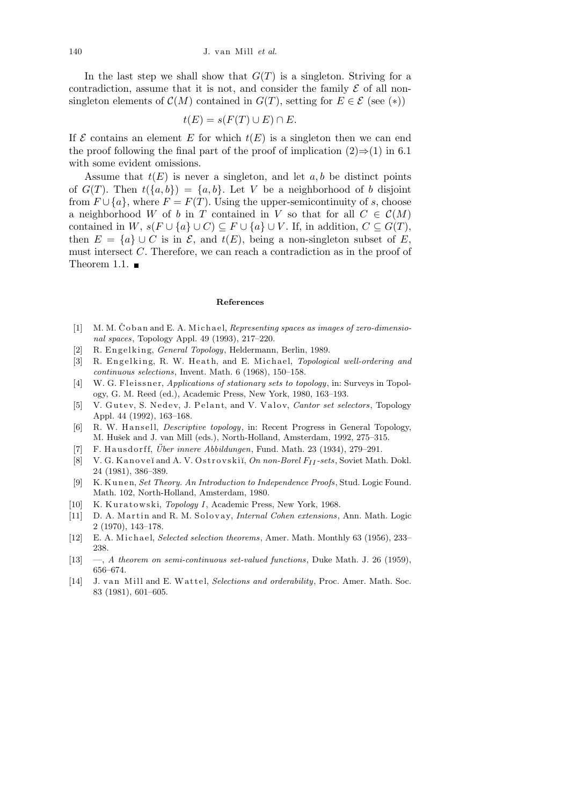In the last step we shall show that  $G(T)$  is a singleton. Striving for a contradiction, assume that it is not, and consider the family  $\mathcal E$  of all nonsingleton elements of  $\mathcal{C}(M)$  contained in  $G(T)$ , setting for  $E \in \mathcal{E}$  (see (\*))

$$
t(E) = s(F(T) \cup E) \cap E.
$$

If  $\mathcal E$  contains an element  $E$  for which  $t(E)$  is a singleton then we can end the proof following the final part of the proof of implication  $(2) \Rightarrow (1)$  in 6.1 with some evident omissions.

Assume that  $t(E)$  is never a singleton, and let  $a, b$  be distinct points of  $G(T)$ . Then  $t({a,b}) = {a,b}$ . Let *V* be a neighborhood of *b* disjoint from  $F \cup \{a\}$ , where  $F = F(T)$ . Using the upper-semicontinuity of *s*, choose a neighborhood *W* of *b* in *T* contained in *V* so that for all  $C \in \mathcal{C}(M)$ contained in *W*,  $s(F \cup \{a\} \cup C) \subseteq F \cup \{a\} \cup V$ . If, in addition,  $C \subseteq G(T)$ , then  $E = \{a\} \cup C$  is in  $\mathcal{E}$ , and  $t(E)$ , being a non-singleton subset of *E*, must intersect *C*. Therefore, we can reach a contradiction as in the proof of Theorem 1.1.  $\blacksquare$ 

## **References**

- [1] M. M. Čoban and E. A. Michael, *Representing spaces as images of zero-dimensional spaces*, Topology Appl. 49 (1993), 217–220.
- [2] R. Engelking, *General Topology*, Heldermann, Berlin, 1989.
- [3] R. Engelking, R. W. Heath, and E. Michael, *Topological well-ordering and continuous selections*, Invent. Math. 6 (1968), 150–158.
- [4] W. G. Fleissner, *Applications of stationary sets to topology*, in: Surveys in Topology, G. M. Reed (ed.), Academic Press, New York, 1980, 163–193.
- [5] V. Gutey, S. Nedey, J. Pelant, and V. Valov, *Cantor set selectors*, Topology Appl. 44 (1992), 163–168.
- [6] R. W. Hansell, *Descriptive topology*, in: Recent Progress in General Topology, M. Hušek and J. van Mill (eds.), North-Holland, Amsterdam, 1992, 275–315.
- [7] F. Hausdorff, *Über innere Abbildungen*, Fund. Math. 23 (1934), 279–291.
- [8] V. G. K a n o v e˘ı and A. V. O s t r o v s ki˘ı, *On non-Borel FII -sets*, Soviet Math. Dokl. 24 (1981), 386–389.
- [9] K. Kunen, *Set Theory. An Introduction to Independence Proofs*, Stud. Logic Found. Math. 102, North-Holland, Amsterdam, 1980.
- [10] K. Kuratowski, *Topology I*, Academic Press, New York, 1968.
- [11] D. A. Martin and R. M. Solovay, *Internal Cohen extensions*, Ann. Math. Logic 2 (1970), 143–178.
- [12] E. A. Michael, *Selected selection theorems*, Amer. Math. Monthly 63 (1956), 233– 238.
- [13] —, *A theorem on semi-continuous set-valued functions*, Duke Math. J. 26 (1959), 656–674.
- [14] J. van Mill and E. Wattel, *Selections and orderability*, Proc. Amer. Math. Soc. 83 (1981), 601–605.